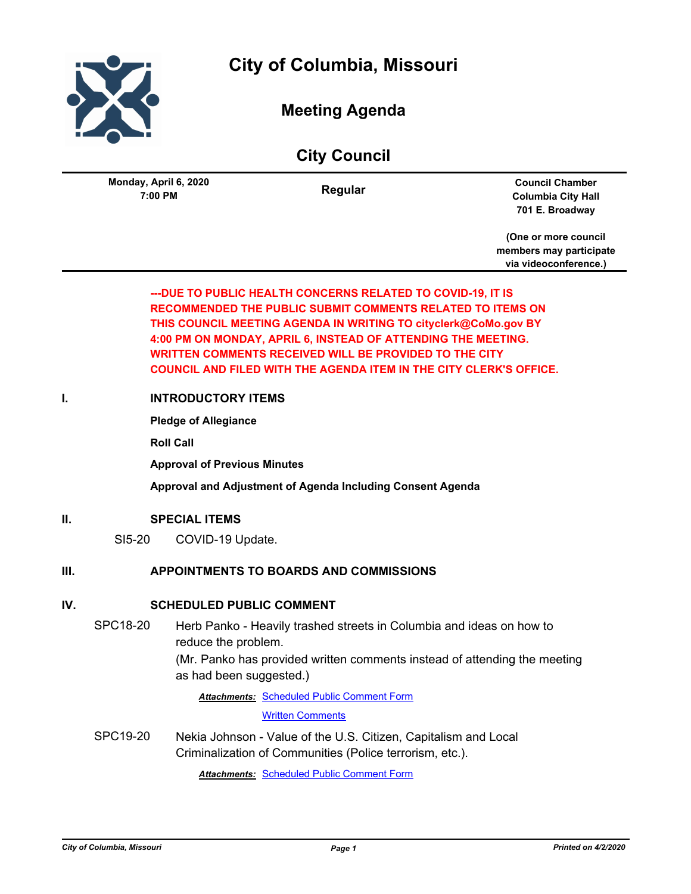

**City of Columbia, Missouri**

# **Meeting Agenda**

|                                  | <b>City Council</b> |                                                                        |
|----------------------------------|---------------------|------------------------------------------------------------------------|
| Monday, April 6, 2020<br>7:00 PM | Regular             | <b>Council Chamber</b><br><b>Columbia City Hall</b><br>701 E. Broadway |
|                                  |                     |                                                                        |

**(One or more council members may participate via videoconference.)**

## **---DUE TO PUBLIC HEALTH CONCERNS RELATED TO COVID-19, IT IS RECOMMENDED THE PUBLIC SUBMIT COMMENTS RELATED TO ITEMS ON THIS COUNCIL MEETING AGENDA IN WRITING TO cityclerk@CoMo.gov BY 4:00 PM ON MONDAY, APRIL 6, INSTEAD OF ATTENDING THE MEETING. WRITTEN COMMENTS RECEIVED WILL BE PROVIDED TO THE CITY COUNCIL AND FILED WITH THE AGENDA ITEM IN THE CITY CLERK'S OFFICE.**

## **I. INTRODUCTORY ITEMS**

**Pledge of Allegiance**

**Roll Call**

**Approval of Previous Minutes**

**Approval and Adjustment of Agenda Including Consent Agenda**

#### **II. SPECIAL ITEMS**

SI5-20 COVID-19 Update.

### **III. APPOINTMENTS TO BOARDS AND COMMISSIONS**

#### **IV. SCHEDULED PUBLIC COMMENT**

SPC18-20 Herb Panko - Heavily trashed streets in Columbia and ideas on how to reduce the problem.

> (Mr. Panko has provided written comments instead of attending the meeting as had been suggested.)

Attachments: [Scheduled Public Comment Form](http://gocolumbiamo.legistar.com/gateway.aspx?M=F&ID=60a320c9-6055-4499-93fc-587772d026cd.pdf)

[Written Comments](http://gocolumbiamo.legistar.com/gateway.aspx?M=F&ID=521a391f-7c5a-44b5-8519-ef550ed46564.pdf)

SPC19-20 Nekia Johnson - Value of the U.S. Citizen, Capitalism and Local Criminalization of Communities (Police terrorism, etc.).

*Attachments:* [Scheduled Public Comment Form](http://gocolumbiamo.legistar.com/gateway.aspx?M=F&ID=061f133e-4d1e-4d33-b735-e86e5df1555e.pdf)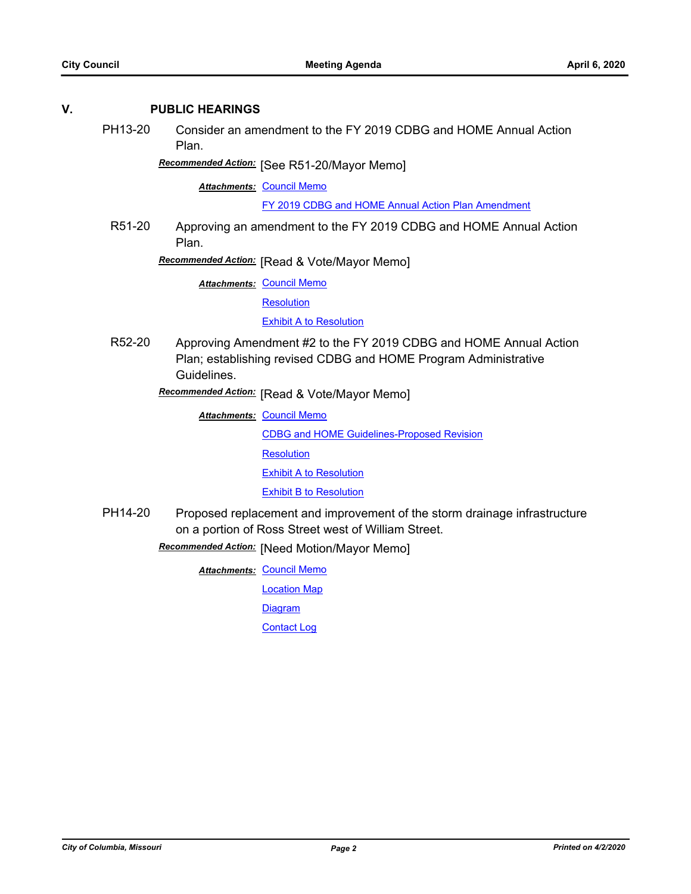#### **V. PUBLIC HEARINGS**

PH13-20 Consider an amendment to the FY 2019 CDBG and HOME Annual Action Plan.

[See R51-20/Mayor Memo] *Recommended Action:*

**Attachments: [Council Memo](http://gocolumbiamo.legistar.com/gateway.aspx?M=F&ID=1d5e7de0-f97f-4cd9-9347-6482084b2b9f.docx)** 

[FY 2019 CDBG and HOME Annual Action Plan Amendment](http://gocolumbiamo.legistar.com/gateway.aspx?M=F&ID=b9b5174f-f92d-4961-9a2c-9a98c7a3a40c.pdf)

R51-20 Approving an amendment to the FY 2019 CDBG and HOME Annual Action Plan.

**Recommended Action:** [Read & Vote/Mayor Memo]

**Attachments: [Council Memo](http://gocolumbiamo.legistar.com/gateway.aspx?M=F&ID=dbddd4a3-2e0c-416c-8888-aad714db434c.docx)** 

**[Resolution](http://gocolumbiamo.legistar.com/gateway.aspx?M=F&ID=82332911-1721-451d-8421-a59c03d02802.doc)** 

[Exhibit A to Resolution](http://gocolumbiamo.legistar.com/gateway.aspx?M=F&ID=54d06e37-55f4-449f-a776-1b15c9b98236.pdf)

R52-20 Approving Amendment #2 to the FY 2019 CDBG and HOME Annual Action Plan; establishing revised CDBG and HOME Program Administrative Guidelines.

[Read & Vote/Mayor Memo] *Recommended Action:*

**Attachments: [Council Memo](http://gocolumbiamo.legistar.com/gateway.aspx?M=F&ID=5e2e56bf-4fbc-4dc4-9f67-c76f92d2ceb7.docx)** 

[CDBG and HOME Guidelines-Proposed Revision](http://gocolumbiamo.legistar.com/gateway.aspx?M=F&ID=5956de25-75f4-4d45-91c7-33da9829412c.pdf)

**[Resolution](http://gocolumbiamo.legistar.com/gateway.aspx?M=F&ID=8110c809-58e7-4f75-a29d-c3e656db2624.doc)** 

[Exhibit A to Resolution](http://gocolumbiamo.legistar.com/gateway.aspx?M=F&ID=c736094c-20d7-4030-aef4-372e8e375a3e.docx)

**[Exhibit B to Resolution](http://gocolumbiamo.legistar.com/gateway.aspx?M=F&ID=d367425f-f155-4349-b0af-f383ae9925c7.pdf)** 

PH14-20 Proposed replacement and improvement of the storm drainage infrastructure on a portion of Ross Street west of William Street.

[Need Motion/Mayor Memo] *Recommended Action:*

**Attachments: [Council Memo](http://gocolumbiamo.legistar.com/gateway.aspx?M=F&ID=f328885c-f5a9-45c2-988d-1d8e311eeae5.docx)** 

[Location Map](http://gocolumbiamo.legistar.com/gateway.aspx?M=F&ID=c6c5fc38-ad20-43d2-b1f6-edb10c65983f.pdf)

[Diagram](http://gocolumbiamo.legistar.com/gateway.aspx?M=F&ID=8c5544f1-0da3-411b-82a4-abc0b7f82d80.pdf)

[Contact Log](http://gocolumbiamo.legistar.com/gateway.aspx?M=F&ID=8f0fba9a-af23-4197-b314-261c5ada679a.pdf)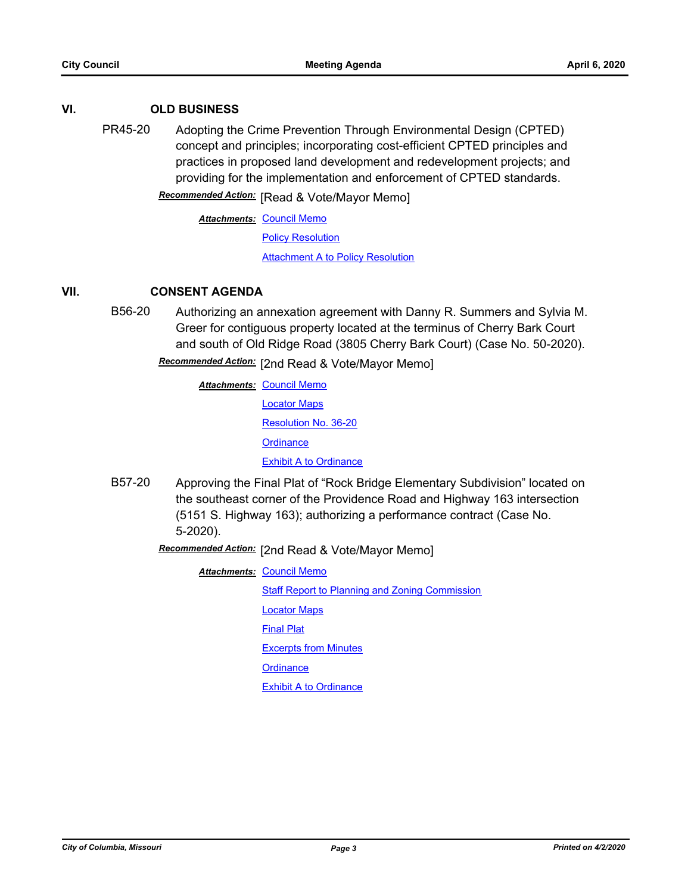#### **VI. OLD BUSINESS**

PR45-20 Adopting the Crime Prevention Through Environmental Design (CPTED) concept and principles; incorporating cost-efficient CPTED principles and practices in proposed land development and redevelopment projects; and providing for the implementation and enforcement of CPTED standards.

**Recommended Action:** [Read & Vote/Mayor Memo]

**Attachments: [Council Memo](http://gocolumbiamo.legistar.com/gateway.aspx?M=F&ID=db46fd9f-b71d-41a4-8b5c-e882e03e8216.docx)** 

[Policy Resolution](http://gocolumbiamo.legistar.com/gateway.aspx?M=F&ID=2716a9ff-3ae5-4d2f-b82e-b3574a99dd99.doc)

[Attachment A to Policy Resolution](http://gocolumbiamo.legistar.com/gateway.aspx?M=F&ID=21365207-6d62-43c9-a7db-2ac9da7cd197.docx)

### **VII. CONSENT AGENDA**

B56-20 Authorizing an annexation agreement with Danny R. Summers and Sylvia M. Greer for contiguous property located at the terminus of Cherry Bark Court and south of Old Ridge Road (3805 Cherry Bark Court) (Case No. 50-2020).

Recommended Action: [2nd Read & Vote/Mayor Memo]

- **Attachments: [Council Memo](http://gocolumbiamo.legistar.com/gateway.aspx?M=F&ID=4ec63b3f-7be4-4549-b266-f7a19b695005.docx)** [Locator Maps](http://gocolumbiamo.legistar.com/gateway.aspx?M=F&ID=ed985116-51b4-48f6-8d0a-5bc9d5288ed8.pdf) [Resolution No. 36-20](http://gocolumbiamo.legistar.com/gateway.aspx?M=F&ID=d3a16603-8dfc-48ea-a9a6-a16e351265ce.pdf) **[Ordinance](http://gocolumbiamo.legistar.com/gateway.aspx?M=F&ID=7f4c7869-6059-4025-9b4d-4f80fd8f2ab2.doc)** [Exhibit A to Ordinance](http://gocolumbiamo.legistar.com/gateway.aspx?M=F&ID=67f736d5-3d89-40cb-85ab-9f7a0510086f.pdf)
- B57-20 Approving the Final Plat of "Rock Bridge Elementary Subdivision" located on the southeast corner of the Providence Road and Highway 163 intersection (5151 S. Highway 163); authorizing a performance contract (Case No. 5-2020).

Recommended Action: [2nd Read & Vote/Mayor Memo]

**Attachments: [Council Memo](http://gocolumbiamo.legistar.com/gateway.aspx?M=F&ID=ba98d8eb-457d-4c34-b3ec-2f14794a185f.docx)** 

**[Staff Report to Planning and Zoning Commission](http://gocolumbiamo.legistar.com/gateway.aspx?M=F&ID=742b7ac8-e3b3-4ac5-8a49-14dcd10ea93e.docx)** 

[Locator Maps](http://gocolumbiamo.legistar.com/gateway.aspx?M=F&ID=2af05cbc-e0e5-42d8-aab4-e94964419a3c.pdf)

[Final Plat](http://gocolumbiamo.legistar.com/gateway.aspx?M=F&ID=fefa4df2-3fee-4691-ada8-43f39af35364.pdf)

[Excerpts from Minutes](http://gocolumbiamo.legistar.com/gateway.aspx?M=F&ID=989c2756-d811-4a3e-b969-e56c6f636792.docx)

**[Ordinance](http://gocolumbiamo.legistar.com/gateway.aspx?M=F&ID=eaa6347b-1ef0-4f6d-878a-6d13b112a889.doc)** 

[Exhibit A to Ordinance](http://gocolumbiamo.legistar.com/gateway.aspx?M=F&ID=0eefb54c-80af-45ff-97b1-eb966a99323c.pdf)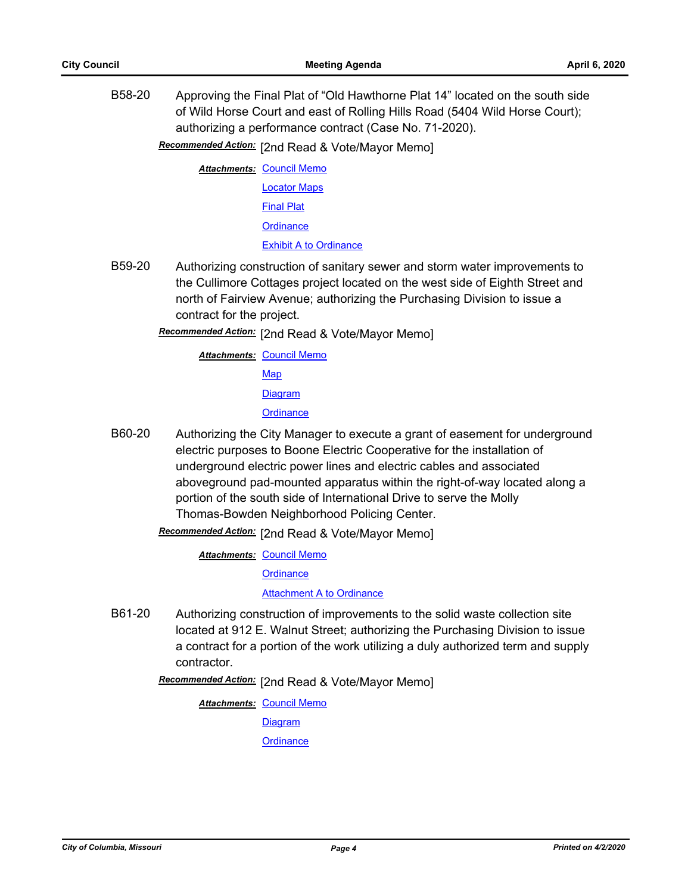B58-20 Approving the Final Plat of "Old Hawthorne Plat 14" located on the south side of Wild Horse Court and east of Rolling Hills Road (5404 Wild Horse Court); authorizing a performance contract (Case No. 71-2020).

Recommended Action: [2nd Read & Vote/Mayor Memo]

**Attachments: [Council Memo](http://gocolumbiamo.legistar.com/gateway.aspx?M=F&ID=29511472-b642-4a28-b93c-a433913ea667.docx)** [Locator Maps](http://gocolumbiamo.legistar.com/gateway.aspx?M=F&ID=96843ce8-17bb-4eaa-9911-e2462f94a9c4.pdf) [Final Plat](http://gocolumbiamo.legistar.com/gateway.aspx?M=F&ID=4f84a274-4281-4008-a556-4fe1f68b13ab.pdf) **[Ordinance](http://gocolumbiamo.legistar.com/gateway.aspx?M=F&ID=a235067f-70dd-4323-8fd1-9cf87e509132.doc)** [Exhibit A to Ordinance](http://gocolumbiamo.legistar.com/gateway.aspx?M=F&ID=de974673-ee79-468e-9eda-14afc5fa08d9.pdf)

B59-20 Authorizing construction of sanitary sewer and storm water improvements to the Cullimore Cottages project located on the west side of Eighth Street and north of Fairview Avenue; authorizing the Purchasing Division to issue a contract for the project.

Recommended Action: [2nd Read & Vote/Mayor Memo]

**Attachments: [Council Memo](http://gocolumbiamo.legistar.com/gateway.aspx?M=F&ID=9921f3db-1a72-405d-8db4-758ef70c1ef7.docx)** [Map](http://gocolumbiamo.legistar.com/gateway.aspx?M=F&ID=bbd577a5-e2f1-44ce-b0cd-156ba700b3af.pdf) **[Diagram](http://gocolumbiamo.legistar.com/gateway.aspx?M=F&ID=2c2c177f-16c0-4b25-acac-bd987f3d3a4c.pdf) [Ordinance](http://gocolumbiamo.legistar.com/gateway.aspx?M=F&ID=7ff3cac3-096f-4c70-84a4-355d3d90075c.doc)** 

B60-20 Authorizing the City Manager to execute a grant of easement for underground electric purposes to Boone Electric Cooperative for the installation of underground electric power lines and electric cables and associated aboveground pad-mounted apparatus within the right-of-way located along a portion of the south side of International Drive to serve the Molly Thomas-Bowden Neighborhood Policing Center.

Recommended Action: [2nd Read & Vote/Mayor Memo]

**Attachments: [Council Memo](http://gocolumbiamo.legistar.com/gateway.aspx?M=F&ID=112b48b4-1005-4fb9-a887-ab0f41ea1881.docx)** 

**[Ordinance](http://gocolumbiamo.legistar.com/gateway.aspx?M=F&ID=9a870e36-c0e6-4ea7-bf12-1fd3b7766e2a.doc)** 

[Attachment A to Ordinance](http://gocolumbiamo.legistar.com/gateway.aspx?M=F&ID=6fc3a6df-cd68-477f-a0ab-1410bf592b64.pdf)

B61-20 Authorizing construction of improvements to the solid waste collection site located at 912 E. Walnut Street; authorizing the Purchasing Division to issue a contract for a portion of the work utilizing a duly authorized term and supply contractor.

Recommended Action: [2nd Read & Vote/Mayor Memo]

**Attachments: [Council Memo](http://gocolumbiamo.legistar.com/gateway.aspx?M=F&ID=806641e1-fcd2-40df-810c-f26ceee1bcbd.docx)** 

[Diagram](http://gocolumbiamo.legistar.com/gateway.aspx?M=F&ID=be37e471-9447-4018-bd3c-f8d2edc804fa.pdf)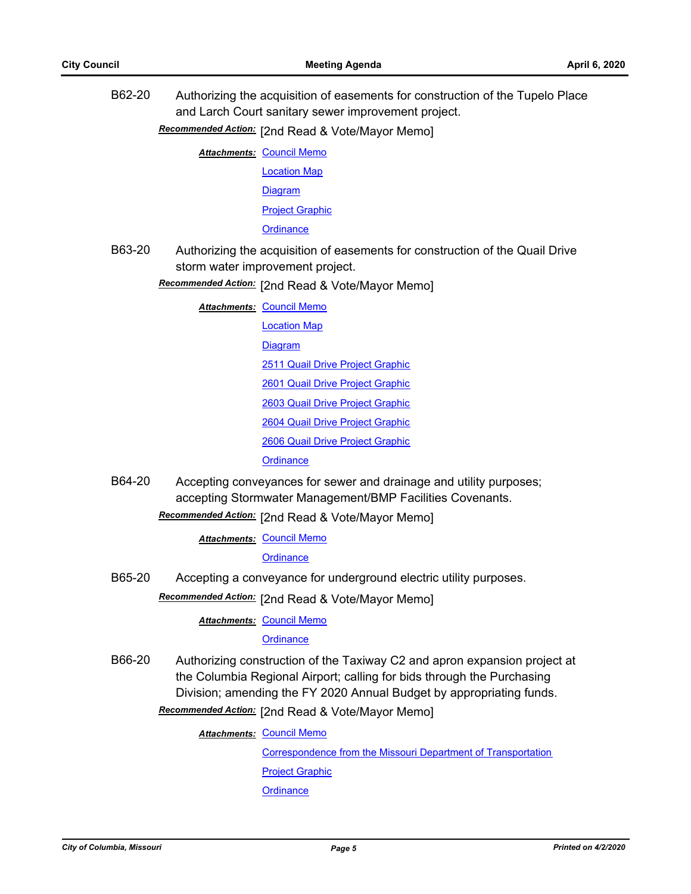B62-20 Authorizing the acquisition of easements for construction of the Tupelo Place and Larch Court sanitary sewer improvement project.

Recommended Action: [2nd Read & Vote/Mayor Memo]

**Attachments: [Council Memo](http://gocolumbiamo.legistar.com/gateway.aspx?M=F&ID=8d23ce56-f769-410e-93c1-1a9a1f77b54f.docx)** 

[Location Map](http://gocolumbiamo.legistar.com/gateway.aspx?M=F&ID=1c240ac5-688e-4161-aa56-b315a12a9a15.pdf)

[Diagram](http://gocolumbiamo.legistar.com/gateway.aspx?M=F&ID=0b6f0317-4c82-4ebc-b68f-17dadcd6b721.pdf)

[Project Graphic](http://gocolumbiamo.legistar.com/gateway.aspx?M=F&ID=3d85316a-e440-43d8-86f7-76e2c082f10f.pdf)

**[Ordinance](http://gocolumbiamo.legistar.com/gateway.aspx?M=F&ID=a2600b37-f41a-421e-bb81-337844be3804.doc)** 

- B63-20 Authorizing the acquisition of easements for construction of the Quail Drive storm water improvement project.
	- **Recommended Action:** [2nd Read & Vote/Mayor Memo]

**Attachments: [Council Memo](http://gocolumbiamo.legistar.com/gateway.aspx?M=F&ID=ec062102-3ee8-4909-b683-c78134524557.docx)** 

[Location Map](http://gocolumbiamo.legistar.com/gateway.aspx?M=F&ID=b3153d94-4ad0-44d5-9026-93126634a323.pdf) [Diagram](http://gocolumbiamo.legistar.com/gateway.aspx?M=F&ID=33e7e5cf-60af-44e5-a860-3aa6eac6d36f.pdf) [2511 Quail Drive Project Graphic](http://gocolumbiamo.legistar.com/gateway.aspx?M=F&ID=038e91b7-675c-4e5e-a470-ef964c32b301.pdf) [2601 Quail Drive Project Graphic](http://gocolumbiamo.legistar.com/gateway.aspx?M=F&ID=28716184-5f4e-4d08-b171-244704520f16.pdf) [2603 Quail Drive Project Graphic](http://gocolumbiamo.legistar.com/gateway.aspx?M=F&ID=2a055746-7e17-4cc1-9a5b-c106b57a0076.pdf) [2604 Quail Drive Project Graphic](http://gocolumbiamo.legistar.com/gateway.aspx?M=F&ID=ecc1bca6-4d74-4862-8827-ded88ac8224c.pdf) [2606 Quail Drive Project Graphic](http://gocolumbiamo.legistar.com/gateway.aspx?M=F&ID=19b167ed-011a-4691-bb72-bfdd6404a14a.pdf)

**[Ordinance](http://gocolumbiamo.legistar.com/gateway.aspx?M=F&ID=092da84a-d312-40cb-8e7b-f352d2a3f97f.doc)** 

B64-20 Accepting conveyances for sewer and drainage and utility purposes; accepting Stormwater Management/BMP Facilities Covenants.

[2nd Read & Vote/Mayor Memo] *Recommended Action:*

**Attachments: [Council Memo](http://gocolumbiamo.legistar.com/gateway.aspx?M=F&ID=7389b843-82e8-4e20-bbaa-6f3bf03a6a9b.docx)** 

**[Ordinance](http://gocolumbiamo.legistar.com/gateway.aspx?M=F&ID=5f24d7ea-ef23-445a-ade5-8f96c65561a8.doc)** 

B65-20 Accepting a conveyance for underground electric utility purposes.

Recommended Action: [2nd Read & Vote/Mayor Memo]

**Attachments: [Council Memo](http://gocolumbiamo.legistar.com/gateway.aspx?M=F&ID=7412df29-7e10-4c38-b7c1-6bb8773d33ac.docx)** 

#### **[Ordinance](http://gocolumbiamo.legistar.com/gateway.aspx?M=F&ID=7a7bd070-48ea-46b8-9785-6be6381bff0a.doc)**

B66-20 Authorizing construction of the Taxiway C2 and apron expansion project at the Columbia Regional Airport; calling for bids through the Purchasing Division; amending the FY 2020 Annual Budget by appropriating funds.

Recommended Action: [2nd Read & Vote/Mayor Memo]

**Attachments: [Council Memo](http://gocolumbiamo.legistar.com/gateway.aspx?M=F&ID=65c70297-5dc0-4b6d-a8ea-a837e2e4a5c5.docx)** 

[Correspondence from the Missouri Department of Transportation](http://gocolumbiamo.legistar.com/gateway.aspx?M=F&ID=9413a85c-7094-4726-a517-185e93d1d422.pdf) [Project Graphic](http://gocolumbiamo.legistar.com/gateway.aspx?M=F&ID=ec071d7b-561a-43bb-992a-96a73ca635ba.pdf) **[Ordinance](http://gocolumbiamo.legistar.com/gateway.aspx?M=F&ID=270f774c-1d57-4c4f-ae97-a04de264caa4.doc)**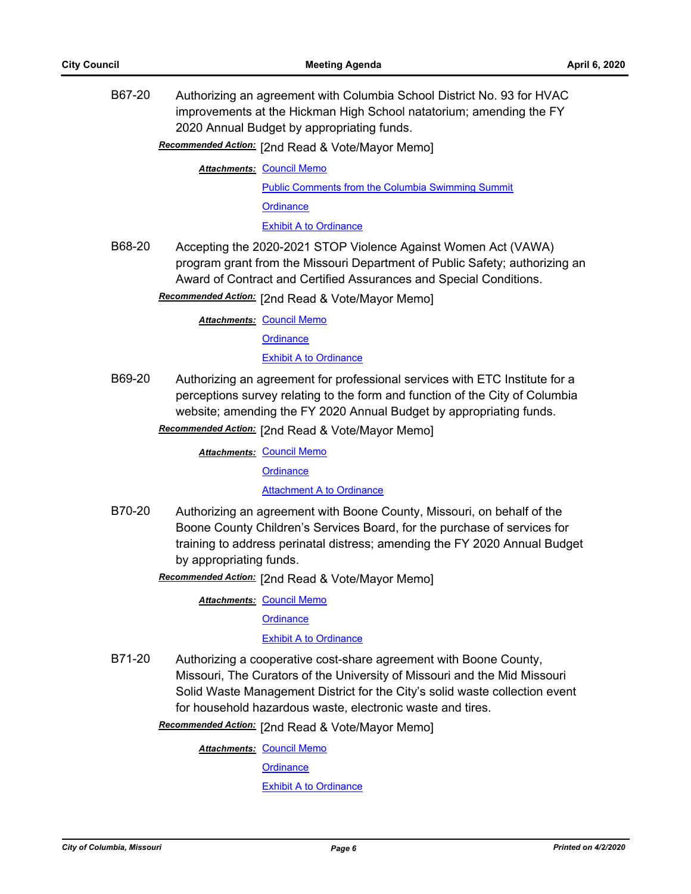B67-20 Authorizing an agreement with Columbia School District No. 93 for HVAC improvements at the Hickman High School natatorium; amending the FY 2020 Annual Budget by appropriating funds.

Recommended Action: [2nd Read & Vote/Mayor Memo]

**Attachments: [Council Memo](http://gocolumbiamo.legistar.com/gateway.aspx?M=F&ID=a2072d10-b688-4e77-9ba1-b363a2032b4c.docx)** 

[Public Comments from the Columbia Swimming Summit](http://gocolumbiamo.legistar.com/gateway.aspx?M=F&ID=079b0e62-6044-4fb4-b831-37bbb0f0d55d.pdf) **[Ordinance](http://gocolumbiamo.legistar.com/gateway.aspx?M=F&ID=60753e81-7d97-4d18-8c3c-af6c0dfc34e1.doc)** [Exhibit A to Ordinance](http://gocolumbiamo.legistar.com/gateway.aspx?M=F&ID=016b5034-ef7c-468e-8fe0-7c243256fa64.pdf)

B68-20 Accepting the 2020-2021 STOP Violence Against Women Act (VAWA) program grant from the Missouri Department of Public Safety; authorizing an Award of Contract and Certified Assurances and Special Conditions.

Recommended Action: [2nd Read & Vote/Mayor Memo]

**Attachments: [Council Memo](http://gocolumbiamo.legistar.com/gateway.aspx?M=F&ID=c02ab525-c384-4cc7-bcdd-00c6fc9517a0.docx)** 

**[Ordinance](http://gocolumbiamo.legistar.com/gateway.aspx?M=F&ID=a1b4294f-215e-4fe2-841f-08baf05bc4b3.doc)** 

[Exhibit A to Ordinance](http://gocolumbiamo.legistar.com/gateway.aspx?M=F&ID=d10dc4e6-e28e-46f5-82de-3c0e4d8c8f1d.pdf)

- B69-20 Authorizing an agreement for professional services with ETC Institute for a perceptions survey relating to the form and function of the City of Columbia website; amending the FY 2020 Annual Budget by appropriating funds.
	- Recommended Action: [2nd Read & Vote/Mayor Memo]

**Attachments: [Council Memo](http://gocolumbiamo.legistar.com/gateway.aspx?M=F&ID=94c3511b-f2e9-453e-8cce-9876520e854a.docx)** 

**[Ordinance](http://gocolumbiamo.legistar.com/gateway.aspx?M=F&ID=9a621f05-e41c-44a1-85c5-f80144f96a97.doc)** 

**[Attachment A to Ordinance](http://gocolumbiamo.legistar.com/gateway.aspx?M=F&ID=276cdbff-19e5-459c-a0a3-c1a4eb246d60.pdf)** 

B70-20 Authorizing an agreement with Boone County, Missouri, on behalf of the Boone County Children's Services Board, for the purchase of services for training to address perinatal distress; amending the FY 2020 Annual Budget by appropriating funds.

Recommended Action: [2nd Read & Vote/Mayor Memo]

**Attachments: [Council Memo](http://gocolumbiamo.legistar.com/gateway.aspx?M=F&ID=b437e459-51a6-4d0b-8c27-ff220e85e0f7.docx)** 

**[Ordinance](http://gocolumbiamo.legistar.com/gateway.aspx?M=F&ID=2871612f-d48d-4fa1-a5f6-442303dc82fd.doc)** 

#### [Exhibit A to Ordinance](http://gocolumbiamo.legistar.com/gateway.aspx?M=F&ID=a6002c50-c097-4d07-8ef5-698dc3398561.pdf)

B71-20 Authorizing a cooperative cost-share agreement with Boone County, Missouri, The Curators of the University of Missouri and the Mid Missouri Solid Waste Management District for the City's solid waste collection event for household hazardous waste, electronic waste and tires.

Recommended Action: [2nd Read & Vote/Mayor Memo]

**Attachments: [Council Memo](http://gocolumbiamo.legistar.com/gateway.aspx?M=F&ID=ec3608be-ba45-4975-840b-6027cb9e1b16.docx)** 

**[Ordinance](http://gocolumbiamo.legistar.com/gateway.aspx?M=F&ID=84163605-1f0c-4dfb-bf59-b8b250a42ba2.doc)** 

[Exhibit A to Ordinance](http://gocolumbiamo.legistar.com/gateway.aspx?M=F&ID=3d30604d-3709-49ab-a47a-689ff8c7361b.pdf)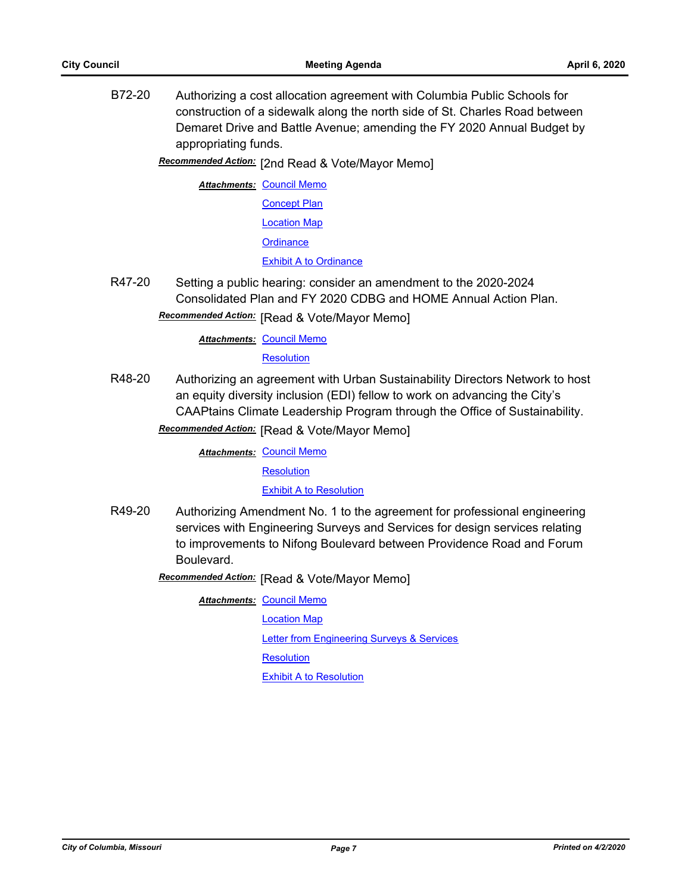B72-20 Authorizing a cost allocation agreement with Columbia Public Schools for construction of a sidewalk along the north side of St. Charles Road between Demaret Drive and Battle Avenue; amending the FY 2020 Annual Budget by appropriating funds.

Recommended Action: [2nd Read & Vote/Mayor Memo]

**Attachments: [Council Memo](http://gocolumbiamo.legistar.com/gateway.aspx?M=F&ID=75bec52a-be0f-486e-8cce-894ca09cf4de.docx) [Concept Plan](http://gocolumbiamo.legistar.com/gateway.aspx?M=F&ID=8bce4531-e82c-4169-a4c6-14561af16179.pdf)** [Location Map](http://gocolumbiamo.legistar.com/gateway.aspx?M=F&ID=93636e18-d78c-4e1c-936d-afc71232a269.pdf) **[Ordinance](http://gocolumbiamo.legistar.com/gateway.aspx?M=F&ID=6f1b8c2f-a52a-4f22-9e9d-8349804aeb18.doc)** [Exhibit A to Ordinance](http://gocolumbiamo.legistar.com/gateway.aspx?M=F&ID=46c62bb3-dd8c-42a1-b35f-a20a795c5e3e.pdf)

R47-20 Setting a public hearing: consider an amendment to the 2020-2024 Consolidated Plan and FY 2020 CDBG and HOME Annual Action Plan.

**Recommended Action:** [Read & Vote/Mayor Memo]

**Attachments: [Council Memo](http://gocolumbiamo.legistar.com/gateway.aspx?M=F&ID=f33a89f4-c44b-482d-88e7-9cf7ac3ca4cc.docx)** 

**[Resolution](http://gocolumbiamo.legistar.com/gateway.aspx?M=F&ID=843c7a9e-2351-4075-ae28-612d2a049621.doc)** 

R48-20 Authorizing an agreement with Urban Sustainability Directors Network to host an equity diversity inclusion (EDI) fellow to work on advancing the City's CAAPtains Climate Leadership Program through the Office of Sustainability.

**Recommended Action:** [Read & Vote/Mayor Memo]

**Attachments: [Council Memo](http://gocolumbiamo.legistar.com/gateway.aspx?M=F&ID=0311f4e4-558e-4602-9c7b-11d0bff1cc00.docx)** 

**[Resolution](http://gocolumbiamo.legistar.com/gateway.aspx?M=F&ID=497ffbe6-8af1-4e58-b1c1-7392f75cb9ff.doc)** 

**[Exhibit A to Resolution](http://gocolumbiamo.legistar.com/gateway.aspx?M=F&ID=ece414c3-8547-4421-9836-639b1fdf36a6.pdf)** 

R49-20 Authorizing Amendment No. 1 to the agreement for professional engineering services with Engineering Surveys and Services for design services relating to improvements to Nifong Boulevard between Providence Road and Forum Boulevard.

**Recommended Action:** [Read & Vote/Mayor Memo]

**Attachments: [Council Memo](http://gocolumbiamo.legistar.com/gateway.aspx?M=F&ID=fc947384-ef2a-438b-99e2-f9b9f5d881a9.docx)** 

[Location Map](http://gocolumbiamo.legistar.com/gateway.aspx?M=F&ID=e0d63540-0945-4655-a0b3-94422c40cd41.pdf) **[Letter from Engineering Surveys & Services](http://gocolumbiamo.legistar.com/gateway.aspx?M=F&ID=1a903a0b-991c-4e07-9e57-20d3df3159c8.pdf) [Resolution](http://gocolumbiamo.legistar.com/gateway.aspx?M=F&ID=b3c51495-bc4d-43c1-94d3-7e1c99b05cbf.doc)** [Exhibit A to Resolution](http://gocolumbiamo.legistar.com/gateway.aspx?M=F&ID=2c3d0e85-6de6-4b42-8239-31dac83f5b06.pdf)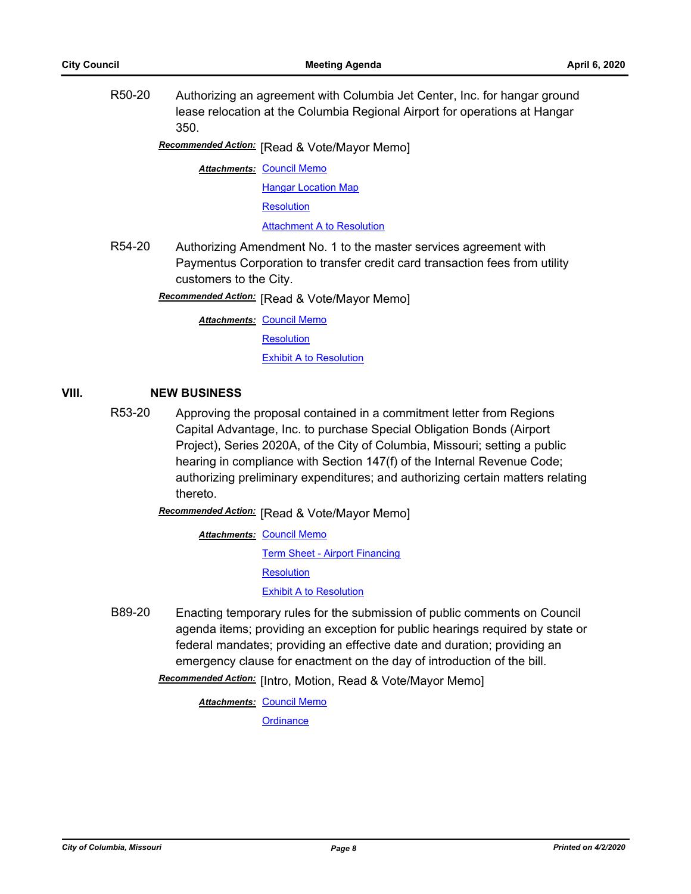R50-20 Authorizing an agreement with Columbia Jet Center, Inc. for hangar ground lease relocation at the Columbia Regional Airport for operations at Hangar 350.

**Recommended Action:** [Read & Vote/Mayor Memo]

**Attachments: [Council Memo](http://gocolumbiamo.legistar.com/gateway.aspx?M=F&ID=cd570639-c1ad-41bc-b0b0-7db6953cd14c.docx)** 

[Hangar Location Map](http://gocolumbiamo.legistar.com/gateway.aspx?M=F&ID=693b2d98-0056-476a-a94f-08172ec2b2fa.pdf)

[Resolution](http://gocolumbiamo.legistar.com/gateway.aspx?M=F&ID=446465a9-3894-4a62-b9e9-4e4c9a9b22ef.doc)

[Attachment A to Resolution](http://gocolumbiamo.legistar.com/gateway.aspx?M=F&ID=d6641c20-f555-4286-811b-1f5e21bfd940.pdf)

R54-20 Authorizing Amendment No. 1 to the master services agreement with Paymentus Corporation to transfer credit card transaction fees from utility customers to the City.

**Recommended Action:** [Read & Vote/Mayor Memo]

**Attachments: [Council Memo](http://gocolumbiamo.legistar.com/gateway.aspx?M=F&ID=e26f0902-db64-4b53-a5a2-61bda1b6d4ed.docx)** 

**[Resolution](http://gocolumbiamo.legistar.com/gateway.aspx?M=F&ID=b52b2eac-d354-46c6-8249-405c89052f05.doc)** 

[Exhibit A to Resolution](http://gocolumbiamo.legistar.com/gateway.aspx?M=F&ID=7ba0f381-5bcd-4cbb-99fe-a8b1ef98d039.docx)

## **VIII. NEW BUSINESS**

R53-20 Approving the proposal contained in a commitment letter from Regions Capital Advantage, Inc. to purchase Special Obligation Bonds (Airport Project), Series 2020A, of the City of Columbia, Missouri; setting a public hearing in compliance with Section 147(f) of the Internal Revenue Code; authorizing preliminary expenditures; and authorizing certain matters relating thereto.

**Recommended Action:** [Read & Vote/Mayor Memo]

**Attachments: [Council Memo](http://gocolumbiamo.legistar.com/gateway.aspx?M=F&ID=67c7f148-003b-45b4-8b7b-12ae78851c70.docx)** [Term Sheet - Airport Financing](http://gocolumbiamo.legistar.com/gateway.aspx?M=F&ID=876c8a6c-4bf2-4a6b-8c3d-51f37c53917b.pdf) **[Resolution](http://gocolumbiamo.legistar.com/gateway.aspx?M=F&ID=7118ad44-ef98-4da3-8d13-5b7df461a7d1.docx)** [Exhibit A to Resolution](http://gocolumbiamo.legistar.com/gateway.aspx?M=F&ID=1680658e-b253-4e13-8687-493aa2230d42.pdf)

B89-20 Enacting temporary rules for the submission of public comments on Council agenda items; providing an exception for public hearings required by state or federal mandates; providing an effective date and duration; providing an emergency clause for enactment on the day of introduction of the bill.

Recommended Action: [Intro, Motion, Read & Vote/Mayor Memo]

**Attachments: [Council Memo](http://gocolumbiamo.legistar.com/gateway.aspx?M=F&ID=d888ebe1-b765-46b8-8027-212097883d5b.docx)**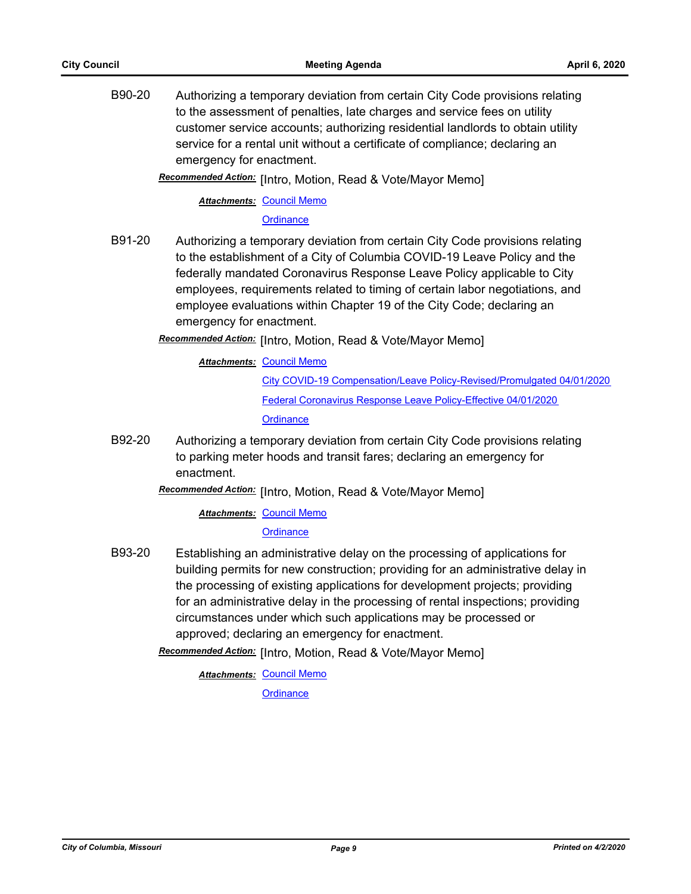B90-20 Authorizing a temporary deviation from certain City Code provisions relating to the assessment of penalties, late charges and service fees on utility customer service accounts; authorizing residential landlords to obtain utility service for a rental unit without a certificate of compliance; declaring an emergency for enactment.

Recommended Action: [Intro, Motion, Read & Vote/Mayor Memo]

**Attachments: [Council Memo](http://gocolumbiamo.legistar.com/gateway.aspx?M=F&ID=d86c4f0c-609d-444b-90e7-87adccf3d793.docx)** 

**[Ordinance](http://gocolumbiamo.legistar.com/gateway.aspx?M=F&ID=f5ac4ffb-2df5-416a-91af-06a9e12210d9.doc)** 

B91-20 Authorizing a temporary deviation from certain City Code provisions relating to the establishment of a City of Columbia COVID-19 Leave Policy and the federally mandated Coronavirus Response Leave Policy applicable to City employees, requirements related to timing of certain labor negotiations, and employee evaluations within Chapter 19 of the City Code; declaring an emergency for enactment.

**Recommended Action:** [Intro, Motion, Read & Vote/Mayor Memo]

**Attachments: [Council Memo](http://gocolumbiamo.legistar.com/gateway.aspx?M=F&ID=fab2cbad-df86-493c-bc2d-994f8a1234e1.docx)** 

[City COVID-19 Compensation/Leave Policy-Revised/Promulgated 04/01/2020](http://gocolumbiamo.legistar.com/gateway.aspx?M=F&ID=08baf819-cfbd-44f2-b7be-ef7edde902e9.pdf) [Federal Coronavirus Response Leave Policy-Effective 04/01/2020](http://gocolumbiamo.legistar.com/gateway.aspx?M=F&ID=3af56c44-1cd4-4110-a318-214d79fd7331.pdf) **[Ordinance](http://gocolumbiamo.legistar.com/gateway.aspx?M=F&ID=fe8e3fd9-9c8f-47a5-905b-bf5c3edfd97f.doc)** 

B92-20 Authorizing a temporary deviation from certain City Code provisions relating to parking meter hoods and transit fares; declaring an emergency for enactment.

Recommended Action: [Intro, Motion, Read & Vote/Mayor Memo]

**Attachments: [Council Memo](http://gocolumbiamo.legistar.com/gateway.aspx?M=F&ID=2744270a-c6fe-46a6-9c5c-2882df4ec68f.docx)** 

**[Ordinance](http://gocolumbiamo.legistar.com/gateway.aspx?M=F&ID=35dbff5d-4bf3-4232-b28a-a54a066ec437.doc)** 

B93-20 Establishing an administrative delay on the processing of applications for building permits for new construction; providing for an administrative delay in the processing of existing applications for development projects; providing for an administrative delay in the processing of rental inspections; providing circumstances under which such applications may be processed or approved; declaring an emergency for enactment.

Recommended Action: [Intro, Motion, Read & Vote/Mayor Memo]

**Attachments: [Council Memo](http://gocolumbiamo.legistar.com/gateway.aspx?M=F&ID=16ef21ac-dc48-4a6a-980c-857cf0a89c7f.docx) [Ordinance](http://gocolumbiamo.legistar.com/gateway.aspx?M=F&ID=76ad7dd6-31d6-4ef7-b9a9-59d5753b6ddb.doc)**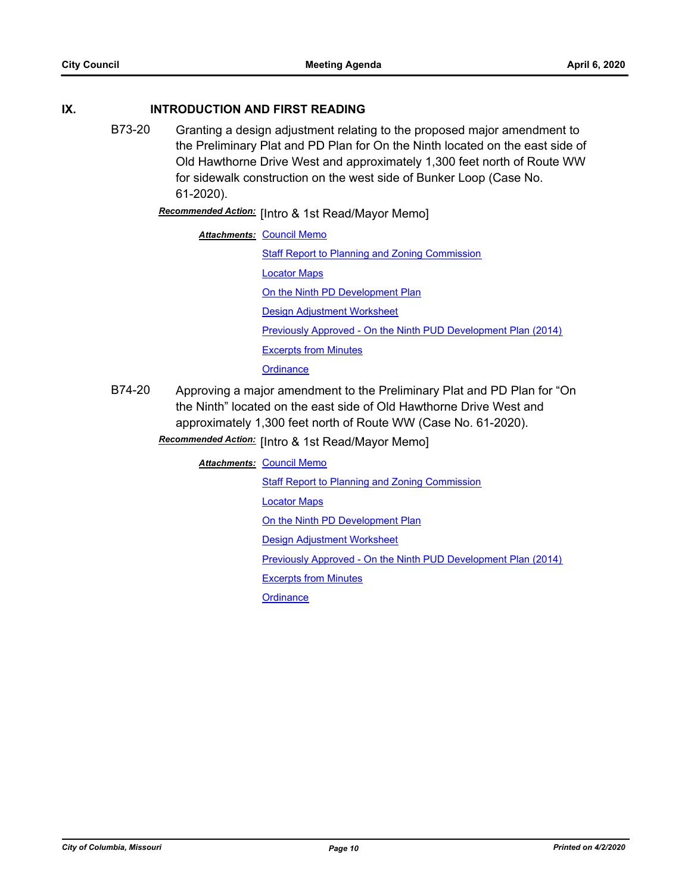#### **IX. INTRODUCTION AND FIRST READING**

B73-20 Granting a design adjustment relating to the proposed major amendment to the Preliminary Plat and PD Plan for On the Ninth located on the east side of Old Hawthorne Drive West and approximately 1,300 feet north of Route WW for sidewalk construction on the west side of Bunker Loop (Case No. 61-2020).

**Recommended Action:** [Intro & 1st Read/Mayor Memo]

#### **Attachments: [Council Memo](http://gocolumbiamo.legistar.com/gateway.aspx?M=F&ID=65edb158-30b4-486e-9462-6d2e136838a0.docx)**

[Staff Report to Planning and Zoning Commission](http://gocolumbiamo.legistar.com/gateway.aspx?M=F&ID=6125f619-f99d-4567-90f9-12bb5572f557.docx)

[Locator Maps](http://gocolumbiamo.legistar.com/gateway.aspx?M=F&ID=137132a2-9717-42cb-b251-f29fbfbfaec9.pdf)

[On the Ninth PD Development Plan](http://gocolumbiamo.legistar.com/gateway.aspx?M=F&ID=01804673-038b-4f33-98c4-3d8a6237f372.pdf)

[Design Adjustment Worksheet](http://gocolumbiamo.legistar.com/gateway.aspx?M=F&ID=ea841655-4534-4ebf-9d85-a686d162dd8f.pdf)

[Previously Approved - On the Ninth PUD Development Plan \(2014\)](http://gocolumbiamo.legistar.com/gateway.aspx?M=F&ID=643d284a-7ba7-4b14-8a70-fb5cad946b7e.pdf)

[Excerpts from Minutes](http://gocolumbiamo.legistar.com/gateway.aspx?M=F&ID=3562112a-002b-419b-aef5-145cec8b894d.docx)

**[Ordinance](http://gocolumbiamo.legistar.com/gateway.aspx?M=F&ID=283f4c86-5683-4421-a9d0-4852c99766da.doc)** 

B74-20 Approving a major amendment to the Preliminary Plat and PD Plan for "On the Ninth" located on the east side of Old Hawthorne Drive West and approximately 1,300 feet north of Route WW (Case No. 61-2020).

## [Intro & 1st Read/Mayor Memo] *Recommended Action:*

#### **Attachments: [Council Memo](http://gocolumbiamo.legistar.com/gateway.aspx?M=F&ID=2ef3a762-4058-415c-b23b-ebb79da10073.docx)**

[Staff Report to Planning and Zoning Commission](http://gocolumbiamo.legistar.com/gateway.aspx?M=F&ID=90449b49-d3fe-4578-8480-625e32efbd85.docx)

[Locator Maps](http://gocolumbiamo.legistar.com/gateway.aspx?M=F&ID=dd71d8d8-7e1e-446b-8913-1febfda92ea2.pdf)

[On the Ninth PD Development Plan](http://gocolumbiamo.legistar.com/gateway.aspx?M=F&ID=b9842c23-b2bf-4b4f-a25a-9d4e59ad15b4.pdf)

[Design Adjustment Worksheet](http://gocolumbiamo.legistar.com/gateway.aspx?M=F&ID=db98dd8a-d0da-484b-96e3-cbad5f2ed0e2.pdf)

[Previously Approved - On the Ninth PUD Development Plan \(2014\)](http://gocolumbiamo.legistar.com/gateway.aspx?M=F&ID=429f3529-d54a-4de1-957a-c2cf258d07cd.pdf)

[Excerpts from Minutes](http://gocolumbiamo.legistar.com/gateway.aspx?M=F&ID=76c3046c-cb52-48b2-858e-ab1a1e71b350.docx)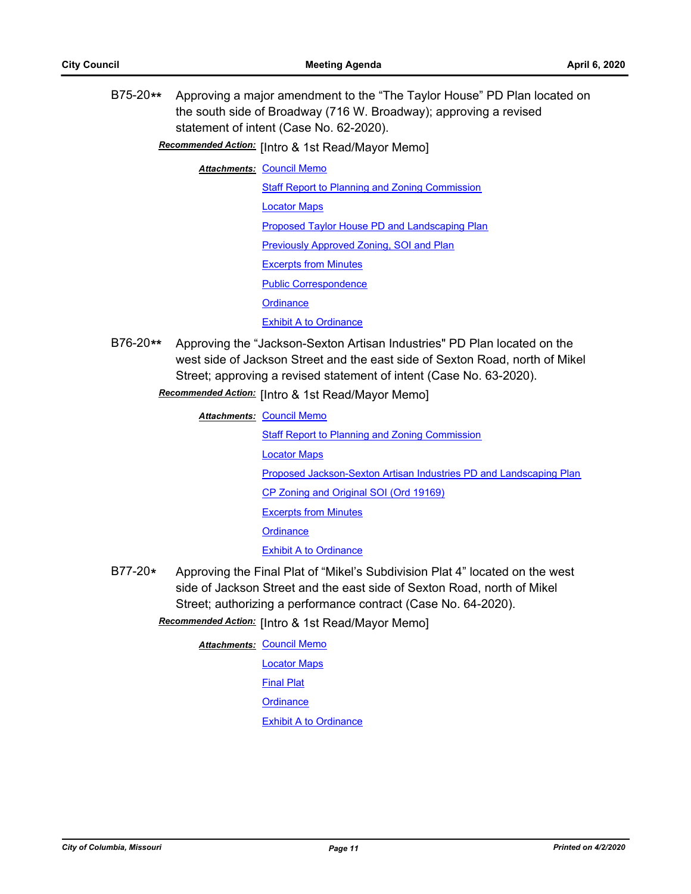B75-20**\*\*** Approving a major amendment to the "The Taylor House" PD Plan located on the south side of Broadway (716 W. Broadway); approving a revised statement of intent (Case No. 62-2020).

Recommended Action: [Intro & 1st Read/Mayor Memo]

**Attachments: [Council Memo](http://gocolumbiamo.legistar.com/gateway.aspx?M=F&ID=9265f5cd-759a-4c62-98e3-76cc78e6e10d.docx)** 

[Staff Report to Planning and Zoning Commission](http://gocolumbiamo.legistar.com/gateway.aspx?M=F&ID=5e3a4672-7313-49bd-a431-aa62c3cef686.docx) [Locator Maps](http://gocolumbiamo.legistar.com/gateway.aspx?M=F&ID=a243329a-2352-4238-b477-e5f0cde10fba.pdf) [Proposed Taylor House PD and Landscaping Plan](http://gocolumbiamo.legistar.com/gateway.aspx?M=F&ID=ca75e311-f759-4cb6-8b77-80bce3362155.pdf) [Previously Approved Zoning, SOI and Plan](http://gocolumbiamo.legistar.com/gateway.aspx?M=F&ID=eab2d61d-4429-4ce9-8947-68bef03e5a66.pdf) [Excerpts from Minutes](http://gocolumbiamo.legistar.com/gateway.aspx?M=F&ID=8d1d0d44-5368-4a21-afec-d572a02384bd.docx) [Public Correspondence](http://gocolumbiamo.legistar.com/gateway.aspx?M=F&ID=ec9b551c-cc79-493b-a1fd-aa4997e21c33.pdf) **[Ordinance](http://gocolumbiamo.legistar.com/gateway.aspx?M=F&ID=e1d20575-c1ec-449c-a254-0b8c6b4c82e5.doc)** [Exhibit A to Ordinance](http://gocolumbiamo.legistar.com/gateway.aspx?M=F&ID=0fad9a76-dd48-4f55-8c64-b847a70a8317.pdf)

B76-20**\*\*** Approving the "Jackson-Sexton Artisan Industries" PD Plan located on the west side of Jackson Street and the east side of Sexton Road, north of Mikel Street; approving a revised statement of intent (Case No. 63-2020).

### Recommended Action: [Intro & 1st Read/Mayor Memo]

**Attachments: [Council Memo](http://gocolumbiamo.legistar.com/gateway.aspx?M=F&ID=9e5cf513-b17a-4d15-92ba-9b95b59a594d.docx)** 

[Staff Report to Planning and Zoning Commission](http://gocolumbiamo.legistar.com/gateway.aspx?M=F&ID=6aa09272-99fc-4570-a3c9-80facfabd5d0.docx) [Locator Maps](http://gocolumbiamo.legistar.com/gateway.aspx?M=F&ID=9ee9a0e3-58a5-4202-bdfd-9eac7fde1436.pdf) [Proposed Jackson-Sexton Artisan Industries PD and Landscaping Plan](http://gocolumbiamo.legistar.com/gateway.aspx?M=F&ID=2a5a3a4e-1011-4769-9242-e3d102902163.pdf) [CP Zoning and Original SOI \(Ord 19169\)](http://gocolumbiamo.legistar.com/gateway.aspx?M=F&ID=0a5b6aa1-fddc-479e-9995-18edc4141319.pdf) [Excerpts from Minutes](http://gocolumbiamo.legistar.com/gateway.aspx?M=F&ID=8e78d6d7-d93b-4d48-8128-00f019233ac9.docx) **[Ordinance](http://gocolumbiamo.legistar.com/gateway.aspx?M=F&ID=84ed56af-96da-428c-8e25-445a924e7bef.doc)** [Exhibit A to Ordinance](http://gocolumbiamo.legistar.com/gateway.aspx?M=F&ID=09105775-e4c6-40b6-9448-d868f651bc9e.pdf)

B77-20**\*** Approving the Final Plat of "Mikel's Subdivision Plat 4" located on the west side of Jackson Street and the east side of Sexton Road, north of Mikel Street; authorizing a performance contract (Case No. 64-2020).

**Recommended Action:** [Intro & 1st Read/Mayor Memo]

**Attachments: [Council Memo](http://gocolumbiamo.legistar.com/gateway.aspx?M=F&ID=edc007d8-ea1b-4bb6-acd2-d0c94c4c4a03.docx)** 

[Locator Maps](http://gocolumbiamo.legistar.com/gateway.aspx?M=F&ID=b202213b-a373-445c-abf6-b7566c5c3a83.pdf) [Final Plat](http://gocolumbiamo.legistar.com/gateway.aspx?M=F&ID=0ef2d3a2-bddb-4146-b1fc-2c3de290331d.pdf)

**[Ordinance](http://gocolumbiamo.legistar.com/gateway.aspx?M=F&ID=3e130b52-44a6-4834-b5c4-1029d13809d7.doc)** 

[Exhibit A to Ordinance](http://gocolumbiamo.legistar.com/gateway.aspx?M=F&ID=07b44742-59e1-4b4c-9991-29de8cc49157.pdf)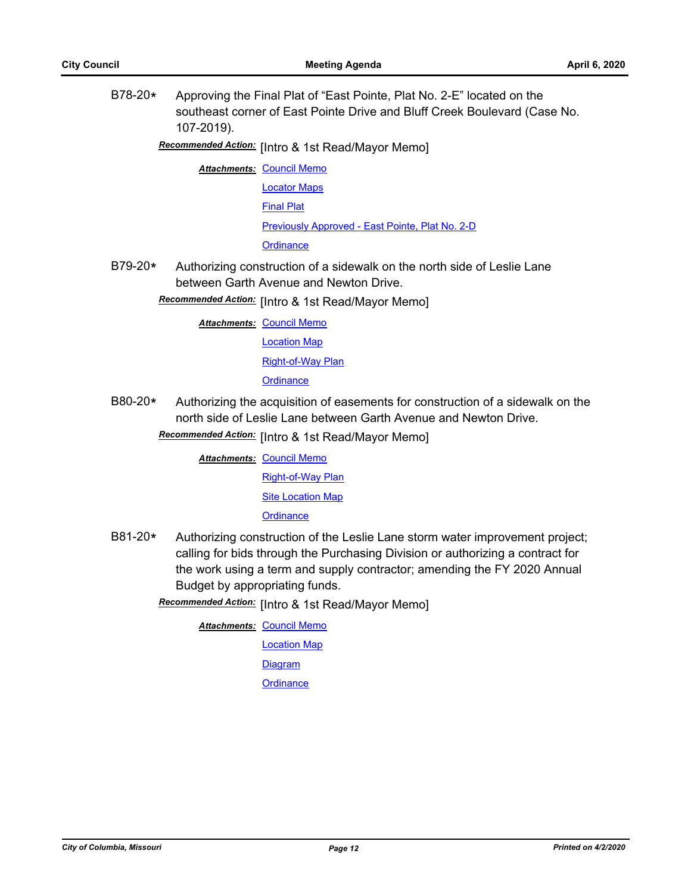B78-20**\*** Approving the Final Plat of "East Pointe, Plat No. 2-E" located on the southeast corner of East Pointe Drive and Bluff Creek Boulevard (Case No. 107-2019).

## **Recommended Action:** [Intro & 1st Read/Mayor Memo]

- **Attachments: [Council Memo](http://gocolumbiamo.legistar.com/gateway.aspx?M=F&ID=2143f653-ae5a-48ff-9eaa-d12b79db219e.docx)** 
	- [Locator Maps](http://gocolumbiamo.legistar.com/gateway.aspx?M=F&ID=13b06f1b-5668-44e7-97f6-c0dad54d455f.pdf) [Final Plat](http://gocolumbiamo.legistar.com/gateway.aspx?M=F&ID=bed5d5ab-7cae-406d-83bf-5f8c22aead7a.pdf) [Previously Approved - East Pointe, Plat No. 2-D](http://gocolumbiamo.legistar.com/gateway.aspx?M=F&ID=782323ab-c1c1-4501-9a36-de1c01af9676.pdf)

**[Ordinance](http://gocolumbiamo.legistar.com/gateway.aspx?M=F&ID=93e9355b-69bf-49c4-8c06-47050bb083f2.doc)** 

B79-20**\*** Authorizing construction of a sidewalk on the north side of Leslie Lane between Garth Avenue and Newton Drive.

Recommended Action: [Intro & 1st Read/Mayor Memo]

- **Attachments: [Council Memo](http://gocolumbiamo.legistar.com/gateway.aspx?M=F&ID=6a8477f8-55ea-43c4-98eb-4a35ab3e7533.docx)** 
	- [Location Map](http://gocolumbiamo.legistar.com/gateway.aspx?M=F&ID=75e3ddde-103f-4ed2-a8fe-6b8dcb883709.pdf)

#### [Right-of-Way Plan](http://gocolumbiamo.legistar.com/gateway.aspx?M=F&ID=8f461629-e267-4396-ae37-26748e252e49.pdf)

**[Ordinance](http://gocolumbiamo.legistar.com/gateway.aspx?M=F&ID=c03e6c7a-913a-4630-a342-3a38311ab147.doc)** 

- B80-20**\*** Authorizing the acquisition of easements for construction of a sidewalk on the north side of Leslie Lane between Garth Avenue and Newton Drive.
	- **Recommended Action:** [Intro & 1st Read/Mayor Memo]

**Attachments: [Council Memo](http://gocolumbiamo.legistar.com/gateway.aspx?M=F&ID=a0b8c8ad-2f6b-400f-9e65-0d25c1e9e8cf.docx)** 

[Right-of-Way Plan](http://gocolumbiamo.legistar.com/gateway.aspx?M=F&ID=c44aa037-ed0f-4dfd-9178-3d4e701f195a.pdf)

[Site Location Map](http://gocolumbiamo.legistar.com/gateway.aspx?M=F&ID=290b4c82-888c-444d-a571-acc3ecf9ddfd.pdf)

**[Ordinance](http://gocolumbiamo.legistar.com/gateway.aspx?M=F&ID=3e56a689-7cd1-4b74-a47c-e19e848b9c58.doc)** 

B81-20**\*** Authorizing construction of the Leslie Lane storm water improvement project; calling for bids through the Purchasing Division or authorizing a contract for the work using a term and supply contractor; amending the FY 2020 Annual Budget by appropriating funds.

Recommended Action: [Intro & 1st Read/Mayor Memo]

**Attachments: [Council Memo](http://gocolumbiamo.legistar.com/gateway.aspx?M=F&ID=df327d0f-4990-465a-97b5-7f69fbd36eab.docx)** 

[Location Map](http://gocolumbiamo.legistar.com/gateway.aspx?M=F&ID=4a93abb5-7a44-4d4a-8338-be9bfe99882a.pdf) **[Diagram](http://gocolumbiamo.legistar.com/gateway.aspx?M=F&ID=4d0b48f8-24d6-434a-b53b-6a00b5a0a344.pdf)**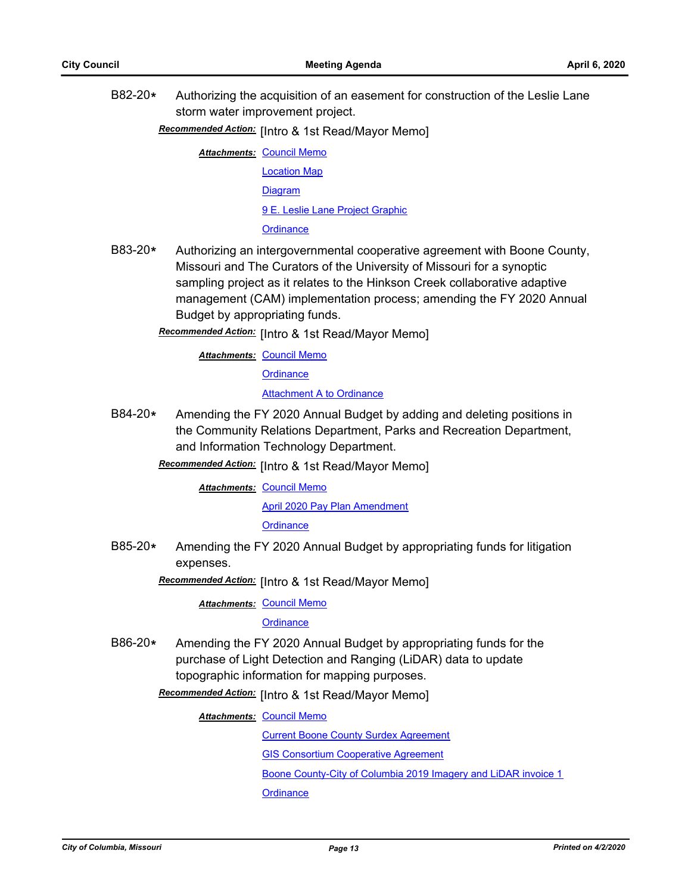B82-20**\*** Authorizing the acquisition of an easement for construction of the Leslie Lane storm water improvement project.

## Recommended Action: [Intro & 1st Read/Mayor Memo]

**Attachments: [Council Memo](http://gocolumbiamo.legistar.com/gateway.aspx?M=F&ID=748f0a7f-fefb-4a6a-a019-6746c19b5cba.docx)** 

[Location Map](http://gocolumbiamo.legistar.com/gateway.aspx?M=F&ID=a49d38ab-35d5-449b-b000-25003390390d.pdf) [Diagram](http://gocolumbiamo.legistar.com/gateway.aspx?M=F&ID=c101ad80-0e6c-4768-b075-3deb4dc01fbc.pdf) [9 E. Leslie Lane Project Graphic](http://gocolumbiamo.legistar.com/gateway.aspx?M=F&ID=af89007f-7ae6-4e6d-aba3-63f69ea42dc8.pdf) **[Ordinance](http://gocolumbiamo.legistar.com/gateway.aspx?M=F&ID=2cd45bc3-bc19-4c43-84e7-53129206d015.doc)** 

- B83-20**\*** Authorizing an intergovernmental cooperative agreement with Boone County, Missouri and The Curators of the University of Missouri for a synoptic sampling project as it relates to the Hinkson Creek collaborative adaptive management (CAM) implementation process; amending the FY 2020 Annual Budget by appropriating funds.
	- Recommended Action: [Intro & 1st Read/Mayor Memo]

**Attachments: [Council Memo](http://gocolumbiamo.legistar.com/gateway.aspx?M=F&ID=5ef567e2-478e-473b-92df-08c1840aaed3.docx)** 

**[Ordinance](http://gocolumbiamo.legistar.com/gateway.aspx?M=F&ID=ccec00b4-191e-44a8-a6fc-0dc6567de86a.doc)** 

[Attachment A to Ordinance](http://gocolumbiamo.legistar.com/gateway.aspx?M=F&ID=81ac50cc-f46c-43fc-bec6-5e39d97d4516.pdf)

- B84-20**\*** Amending the FY 2020 Annual Budget by adding and deleting positions in the Community Relations Department, Parks and Recreation Department, and Information Technology Department.
	- [Intro & 1st Read/Mayor Memo] *Recommended Action:*

**Attachments: [Council Memo](http://gocolumbiamo.legistar.com/gateway.aspx?M=F&ID=7e48c349-a3ae-48b1-9ca1-88a17ae99bbd.docx)** 

[April 2020 Pay Plan Amendment](http://gocolumbiamo.legistar.com/gateway.aspx?M=F&ID=0850ae9b-ca38-4948-87a0-b927edce5c70.doc)

**[Ordinance](http://gocolumbiamo.legistar.com/gateway.aspx?M=F&ID=e865d335-e4a1-465b-9be6-a6493d2634bb.doc)** 

B85-20**\*** Amending the FY 2020 Annual Budget by appropriating funds for litigation expenses.

Recommended Action: [Intro & 1st Read/Mayor Memo]

**Attachments: [Council Memo](http://gocolumbiamo.legistar.com/gateway.aspx?M=F&ID=793e6a8b-655b-4826-908d-0beed64a1ea0.docx)** 

#### **[Ordinance](http://gocolumbiamo.legistar.com/gateway.aspx?M=F&ID=5f6f4c61-b0c6-4f04-85c6-77f2a19db4dd.doc)**

B86-20**\*** Amending the FY 2020 Annual Budget by appropriating funds for the purchase of Light Detection and Ranging (LiDAR) data to update topographic information for mapping purposes.

Recommended Action: [Intro & 1st Read/Mayor Memo]

**Attachments: [Council Memo](http://gocolumbiamo.legistar.com/gateway.aspx?M=F&ID=bb2956d6-5fc4-4c9c-a81d-7be832ec08fa.docx)** 

[Current Boone County Surdex Agreement](http://gocolumbiamo.legistar.com/gateway.aspx?M=F&ID=05b3a9b7-a6b0-44bb-8220-d89d2ebf3598.pdf)

[GIS Consortium Cooperative Agreement](http://gocolumbiamo.legistar.com/gateway.aspx?M=F&ID=aa041b9a-0d77-4d1d-8b99-ca7fbc9ee7b7.pdf)

[Boone County-City of Columbia 2019 Imagery and LiDAR invoice 1](http://gocolumbiamo.legistar.com/gateway.aspx?M=F&ID=f0853455-9181-4c68-8e0c-6af8bdedd710.pdf)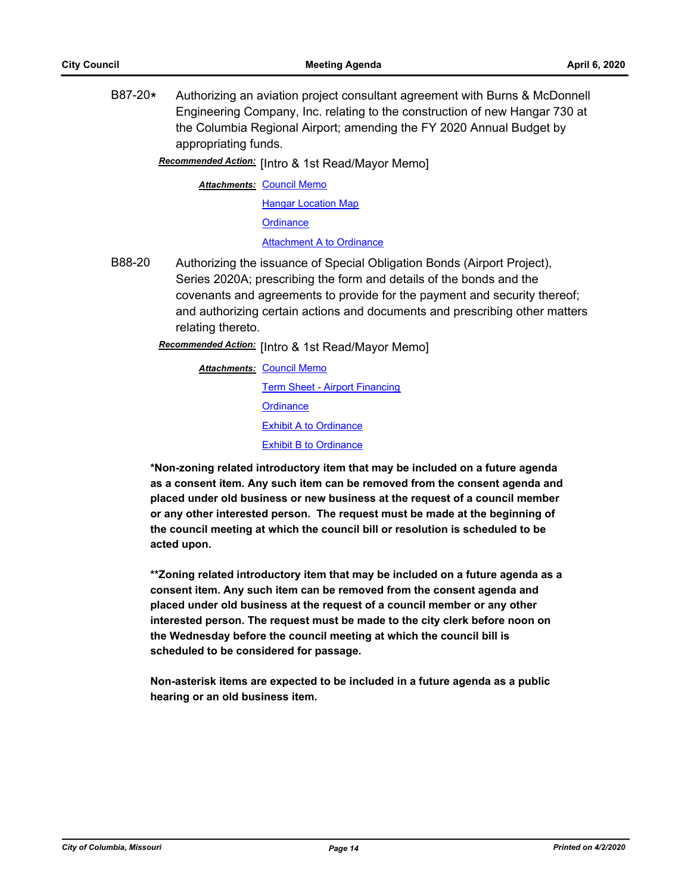B87-20**\*** Authorizing an aviation project consultant agreement with Burns & McDonnell Engineering Company, Inc. relating to the construction of new Hangar 730 at the Columbia Regional Airport; amending the FY 2020 Annual Budget by appropriating funds.

Recommended Action: [Intro & 1st Read/Mayor Memo]

**Attachments: [Council Memo](http://gocolumbiamo.legistar.com/gateway.aspx?M=F&ID=1516fa9f-6ca3-4f63-a021-b7b12a6d23c0.docx)** 

**[Hangar Location Map](http://gocolumbiamo.legistar.com/gateway.aspx?M=F&ID=48c26777-f3d5-4b78-b7ef-4974c4a284a9.pdf) [Ordinance](http://gocolumbiamo.legistar.com/gateway.aspx?M=F&ID=03784975-3019-4de7-b17e-925d4a48d07b.doc)** [Attachment A to Ordinance](http://gocolumbiamo.legistar.com/gateway.aspx?M=F&ID=329405c2-38d8-4c92-9af9-bad34638c86c.pdf)

B88-20 Authorizing the issuance of Special Obligation Bonds (Airport Project), Series 2020A; prescribing the form and details of the bonds and the covenants and agreements to provide for the payment and security thereof; and authorizing certain actions and documents and prescribing other matters relating thereto.

**Recommended Action:** [Intro & 1st Read/Mayor Memo]

**Attachments: [Council Memo](http://gocolumbiamo.legistar.com/gateway.aspx?M=F&ID=b56c0955-3eda-456d-b899-11ed8808a0e7.docx)** [Term Sheet - Airport Financing](http://gocolumbiamo.legistar.com/gateway.aspx?M=F&ID=f6b35ea2-71fe-43e0-865e-c506eb1cead4.pdf) **[Ordinance](http://gocolumbiamo.legistar.com/gateway.aspx?M=F&ID=9b0116ee-37d9-4cce-92c0-f4efd6ec6d7b.docx) [Exhibit A to Ordinance](http://gocolumbiamo.legistar.com/gateway.aspx?M=F&ID=865bad09-a9da-418b-ad58-498a704a15be.pdf)** [Exhibit B to Ordinance](http://gocolumbiamo.legistar.com/gateway.aspx?M=F&ID=bdef262f-b434-48d5-9571-8f17fbef1fd7.pdf)

**\*Non-zoning related introductory item that may be included on a future agenda as a consent item. Any such item can be removed from the consent agenda and placed under old business or new business at the request of a council member or any other interested person. The request must be made at the beginning of the council meeting at which the council bill or resolution is scheduled to be acted upon.** 

**\*\*Zoning related introductory item that may be included on a future agenda as a consent item. Any such item can be removed from the consent agenda and placed under old business at the request of a council member or any other interested person. The request must be made to the city clerk before noon on the Wednesday before the council meeting at which the council bill is scheduled to be considered for passage.**

**Non-asterisk items are expected to be included in a future agenda as a public hearing or an old business item.**